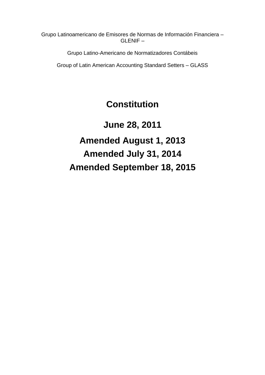Grupo Latinoamericano de Emisores de Normas de Información Financiera – GLENIF –

Grupo Latino-Americano de Normatizadores Contábeis

Group of Latin American Accounting Standard Setters – GLASS

# **Constitution**

**June 28, 2011 Amended August 1, 2013 Amended July 31, 2014 Amended September 18, 2015**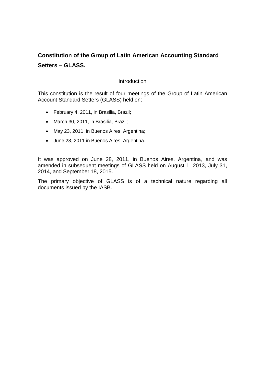# **Constitution of the Group of Latin American Accounting Standard Setters – GLASS.**

#### **Introduction**

This constitution is the result of four meetings of the Group of Latin American Account Standard Setters (GLASS) held on:

- February 4, 2011, in Brasilia, Brazil;
- March 30, 2011, in Brasilia, Brazil;
- May 23, 2011, in Buenos Aires, Argentina;
- June 28, 2011 in Buenos Aires, Argentina.

It was approved on June 28, 2011, in Buenos Aires, Argentina, and was amended in subsequent meetings of GLASS held on August 1, 2013, July 31, 2014, and September 18, 2015.

The primary objective of GLASS is of a technical nature regarding all documents issued by the IASB.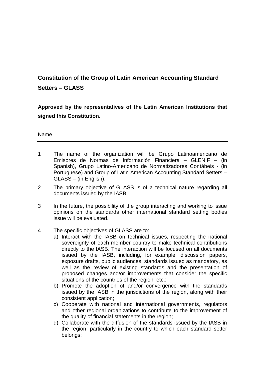# **Constitution of the Group of Latin American Accounting Standard Setters – GLASS**

**Approved by the representatives of the Latin American Institutions that signed this Constitution.**

Name

- 1 The name of the organization will be Grupo Latinoamericano de Emisores de Normas de Información Financiera – GLENIF – (in Spanish), Grupo Latino-Americano de Normatizadores Contábeis - (in Portuguese) and Group of Latin American Accounting Standard Setters – GLASS – (in English).
- 2 The primary objective of GLASS is of a technical nature regarding all documents issued by the IASB.
- 3 In the future, the possibility of the group interacting and working to issue opinions on the standards other international standard setting bodies issue will be evaluated.
- 4 The specific objectives of GLASS are to:
	- a) Interact with the IASB on technical issues, respecting the national sovereignty of each member country to make technical contributions directly to the IASB. The interaction will be focused on all documents issued by the IASB, including, for example, discussion papers, exposure drafts, public audiences, standards issued as mandatory, as well as the review of existing standards and the presentation of proposed changes and/or improvements that consider the specific situations of the countries of the region, etc.;
	- b) Promote the adoption of and/or convergence with the standards issued by the IASB in the jurisdictions of the region, along with their consistent application;
	- c) Cooperate with national and international governments, regulators and other regional organizations to contribute to the improvement of the quality of financial statements in the region;
	- d) Collaborate with the diffusion of the standards issued by the IASB in the region, particularly in the country to which each standard setter belongs;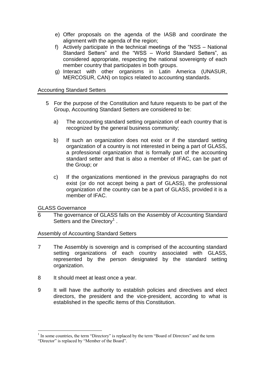- e) Offer proposals on the agenda of the IASB and coordinate the alignment with the agenda of the region;
- f) Actively participate in the technical meetings of the "NSS National Standard Setters" and the "WSS – World Standard Setters", as considered appropriate, respecting the national sovereignty of each member country that participates in both groups.
- g) Interact with other organisms in Latin America (UNASUR, MERCOSUR, CAN) on topics related to accounting standards.

### Accounting Standard Setters

- 5 For the purpose of the Constitution and future requests to be part of the Group, Accounting Standard Setters are considered to be:
	- a) The accounting standard setting organization of each country that is recognized by the general business community;
	- b) If such an organization does not exist or if the standard setting organization of a country is not interested in being a part of GLASS, a professional organization that is formally part of the accounting standard setter and that is also a member of IFAC, can be part of the Group; or
	- c) If the organizations mentioned in the previous paragraphs do not exist (or do not accept being a part of GLASS), the professional organization of the country can be a part of GLASS, provided it is a member of IFAC.

GLASS Governance

6 The governance of GLASS falls on the Assembly of Accounting Standard Setters and the Directory<sup>1</sup>.

### Assembly of Accounting Standard Setters

- 7 The Assembly is sovereign and is comprised of the accounting standard setting organizations of each country associated with GLASS, represented by the person designated by the standard setting organization.
- 8 It should meet at least once a year.
- 9 It will have the authority to establish policies and directives and elect directors, the president and the vice-president, according to what is established in the specific items of this Constitution.

<u>.</u>

<sup>&</sup>lt;sup>1</sup> In some countries, the term "Directory" is replaced by the term "Board of Directors" and the term

<sup>&</sup>quot;Director" is replaced by "Member of the Board".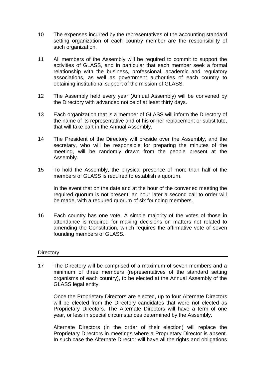- 10 The expenses incurred by the representatives of the accounting standard setting organization of each country member are the responsibility of such organization.
- 11 All members of the Assembly will be required to commit to support the activities of GLASS, and in particular that each member seek a formal relationship with the business, professional, academic and regulatory associations, as well as government authorities of each country to obtaining institutional support of the mission of GLASS.
- 12 The Assembly held every year (Annual Assembly) will be convened by the Directory with advanced notice of at least thirty days.
- 13 Each organization that is a member of GLASS will inform the Directory of the name of its representative and of his or her replacement or substitute, that will take part in the Annual Assembly.
- 14 The President of the Directory will preside over the Assembly, and the secretary, who will be responsible for preparing the minutes of the meeting, will be randomly drawn from the people present at the Assembly.
- 15 To hold the Assembly, the physical presence of more than half of the members of GLASS is required to establish a quorum.

In the event that on the date and at the hour of the convened meeting the required quorum is not present, an hour later a second call to order will be made, with a required quorum of six founding members.

16 Each country has one vote. A simple majority of the votes of those in attendance is required for making decisions on matters not related to amending the Constitution, which requires the affirmative vote of seven founding members of GLASS.

#### **Directory**

17 The Directory will be comprised of a maximum of seven members and a minimum of three members (representatives of the standard setting organisms of each country), to be elected at the Annual Assembly of the GLASS legal entity.

Once the Proprietary Directors are elected, up to four Alternate Directors will be elected from the Directory candidates that were not elected as Proprietary Directors. The Alternate Directors will have a term of one year, or less in special circumstances determined by the Assembly.

Alternate Directors (in the order of their election) will replace the Proprietary Directors in meetings where a Proprietary Director is absent. In such case the Alternate Director will have all the rights and obligations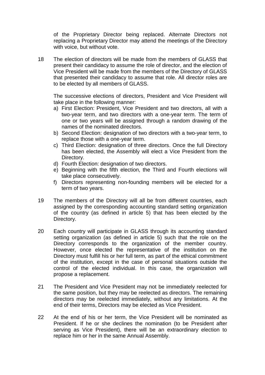of the Proprietary Director being replaced. Alternate Directors not replacing a Proprietary Director may attend the meetings of the Directory with voice, but without vote.

18 The election of directors will be made from the members of GLASS that present their candidacy to assume the role of director, and the election of Vice President will be made from the members of the Directory of GLASS that presented their candidacy to assume that role. All director roles are to be elected by all members of GLASS.

The successive elections of directors, President and Vice President will take place in the following manner:

- a) First Election: President, Vice President and two directors, all with a two-year term, and two directors with a one-year term. The term of one or two years will be assigned through a random drawing of the names of the nominated directors.
- b) Second Election: designation of two directors with a two-year term, to replace those with a one-year term.
- c) Third Election: designation of three directors. Once the full Directory has been elected, the Assembly will elect a Vice President from the Directory.
- d) Fourth Election: designation of two directors.
- e) Beginning with the fifth election, the Third and Fourth elections will take place consecutively.
- f) Directors representing non-founding members will be elected for a term of two years.
- 19 The members of the Directory will all be from different countries, each assigned by the corresponding accounting standard setting organization of the country (as defined in article 5) that has been elected by the Directory.
- 20 Each country will participate in GLASS through its accounting standard setting organization (as defined in article 5) such that the role on the Directory corresponds to the organization of the member country. However, once elected the representative of the institution on the Directory must fulfill his or her full term, as part of the ethical commitment of the institution, except in the case of personal situations outside the control of the elected individual. In this case, the organization will propose a replacement.
- 21 The President and Vice President may not be immediately reelected for the same position, but they may be reelected as directors. The remaining directors may be reelected immediately, without any limitations. At the end of their terms, Directors may be elected as Vice President.
- 22 At the end of his or her term, the Vice President will be nominated as President. If he or she declines the nomination (to be President after serving as Vice President), there will be an extraordinary election to replace him or her in the same Annual Assembly.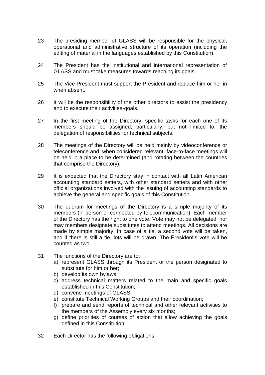- 23 The presiding member of GLASS will be responsible for the physical, operational and administrative structure of its operation (including the editing of material in the languages established by this Constitution).
- 24 The President has the institutional and international representation of GLASS and must take measures towards reaching its goals.
- 25 The Vice President must support the President and replace him or her in when absent.
- 26 It will be the responsibility of the other directors to assist the presidency and to execute their activities-goals.
- 27 In the first meeting of the Directory, specific tasks for each one of its members should be assigned; particularly, but not limited to, the delegation of responsibilities for technical subjects.
- 28 The meetings of the Directory will be held mainly by videoconference or teleconference and, when considered relevant, face-to-face meetings will be held in a place to be determined (and rotating between the countries that comprise the Directory).
- 29 It is expected that the Directory stay in contact with all Latin American accounting standard setters, with other standard setters and with other official organizations involved with the issuing of accounting standards to achieve the general and specific goals of this Constitution.
- 30 The quorum for meetings of the Directory is a simple majority of its members (in person or connected by telecommunication). Each member of the Directory has the right to one vote. Vote may not be delegated, nor may members designate substitutes to attend meetings. All decisions are made by simple majority. In case of a tie, a second vote will be taken, and if there is still a tie, lots will be drawn. The President's vote will be counted as two.
- 31 The functions of the Directory are to:
	- a) represent GLASS through its President or the person designated to substitute for him or her;
	- b) develop its own bylaws;
	- c) address technical matters related to the main and specific goals established in this Constitution;
	- d) convene meetings of GLASS;
	- e) constitute Technical Working Groups and their coordination;
	- f) prepare and send reports of technical and other relevant activities to the members of the Assembly every six months;
	- g) define priorities of courses of action that allow achieving the goals defined in this Constitution.
- 32 Each Director has the following obligations: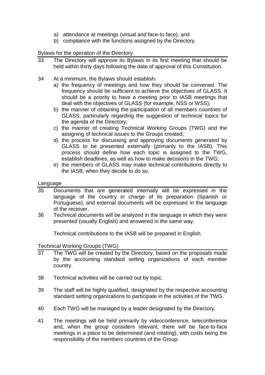- a) attendance at meetings (virtual and face-to face), and
- b) compliance with the functions assigned by the Directory.

# Bylaws for the operation of the Directory

- 33 The Directory will approve its Bylaws in its first meeting that should be held within thirty days following the date of approval of this Constitution.
- 34 At a minimum, the Bylaws should establish:
	- a) the frequency of meetings and how they should be convened. The frequency should be sufficient to achieve the objectives of GLASS. It should be a priority to have a meeting prior to IASB meetings that deal with the objectives of GLASS (for example, NSS or WSS);
	- b) the manner of obtaining the participation of all members countries of GLASS, particularly regarding the suggestion of technical topics for the agenda of the Directory;
	- c) the manner of creating Technical Working Groups (TWG) and the assigning of technical issues to the Groups created;
	- d) the process for discussing and approving documents generated by GLASS to be presented externally (primarily to the IASB). This process should define how each topic is assigned to the TWG, establish deadlines, as well as how to make decisions in the TWG;
	- e) the members of GLASS may make technical contributions directly to the IASB, when they decide to do so.

#### Language

- 35 Documents that are generated internally will be expressed in the language of the country in charge of its preparation (Spanish or Portuguese), and external documents will be expressed in the language of the receiver.
- 36 Technical documents will be analyzed in the language in which they were presented (usually English) and answered in the same way.

Technical contributions to the IASB will be prepared in English.

#### Technical Working Groups (TWG)

- 37 The TWG will be created by the Directory, based on the proposals made by the accounting standard setting organizations of each member country.
- 38 Technical activities will be carried out by topic.
- 39 The staff will be highly qualified, designated by the respective accounting standard setting organizations to participate in the activities of the TWG.
- 40 Each TWG will be managed by a leader designated by the Directory.
- 41 The meetings will be held primarily by videoconference, teleconference and, when the group considers relevant, there will be face-to-face meetings in a place to be determined (and rotating), with costs being the responsibility of the members countries of the Group.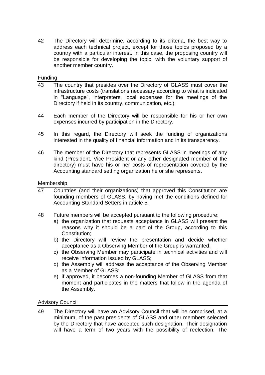42 The Directory will determine, according to its criteria, the best way to address each technical project, except for those topics proposed by a country with a particular interest. In this case, the proposing country will be responsible for developing the topic, with the voluntary support of another member country.

Funding

- 43 The country that presides over the Directory of GLASS must cover the infrastructure costs (translations necessary according to what is indicated in "Language", interpreters, local expenses for the meetings of the Directory if held in its country, communication, etc.).
- 44 Each member of the Directory will be responsible for his or her own expenses incurred by participation in the Directory.
- 45 In this regard, the Directory will seek the funding of organizations interested in the quality of financial information and in its transparency.
- 46 The member of the Directory that represents GLASS in meetings of any kind (President, Vice President or any other designated member of the directory) must have his or her costs of representation covered by the Accounting standard setting organization he or she represents.

# Membership

- 47 Countries (and their organizations) that approved this Constitution are founding members of GLASS, by having met the conditions defined for Accounting Standard Setters in article 5.
- 48 Future members will be accepted pursuant to the following procedure:
	- a) the organization that requests acceptance in GLASS will present the reasons why it should be a part of the Group, according to this Constitution;
	- b) the Directory will review the presentation and decide whether acceptance as a Observing Member of the Group is warranted;
	- c) the Observing Member may participate in technical activities and will receive information issued by GLASS;
	- d) the Assembly will address the acceptance of the Observing Member as a Member of GLASS;
	- e) if approved, it becomes a non-founding Member of GLASS from that moment and participates in the matters that follow in the agenda of the Assembly.

Advisory Council

49 The Directory will have an Advisory Council that will be comprised, at a minimum, of the past presidents of GLASS and other members selected by the Directory that have accepted such designation. Their designation will have a term of two vears with the possibility of reelection. The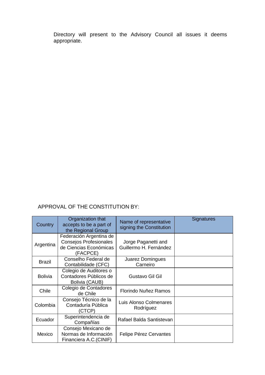Directory will present to the Advisory Council all issues it deems appropriate.

# APPROVAL OF THE CONSTITUTION BY:

| Country        | Organization that<br>accepts to be a part of<br>the Regional Group                             | Name of representative<br>signing the Constitution | Signatures |
|----------------|------------------------------------------------------------------------------------------------|----------------------------------------------------|------------|
| Argentina      | Federación Argentina de<br><b>Consejos Profesionales</b><br>de Ciencias Económicas<br>(FACPCE) | Jorge Paganetti and<br>Guillermo H. Fernández      |            |
| <b>Brazil</b>  | Conselho Federal de<br>Contabilidade (CFC)                                                     | Juarez Domingues<br>Carneiro                       |            |
| <b>Bolivia</b> | Colegio de Auditores o<br>Contadores Públicos de<br>Bolivia (CAUB)                             | Gustavo Gil Gil                                    |            |
| Chile          | Colegio de Contadores<br>de Chile                                                              | Florindo Nuñez Ramos                               |            |
| Colombia       | Consejo Técnico de la<br>Contaduría Pública<br>(CTCP)                                          | Luis Alonso Colmenares<br>Rodríguez                |            |
| Ecuador        | Superintendencia de<br>Compañías                                                               | Rafael Balda Santistevan                           |            |
| Mexico         | Consejo Mexicano de<br>Normas de Información<br>Financiera A.C.(CINIF)                         | Felipe Pérez Cervantes                             |            |